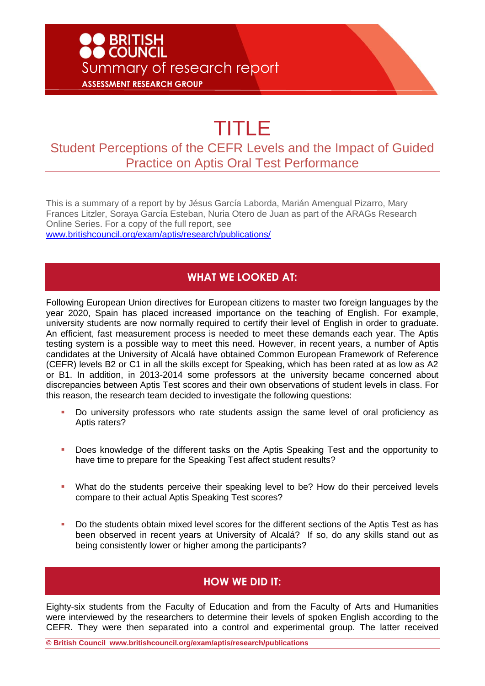# **DO BRITISH<br>DO COUNCIL** Summary of research report **ASSESSMENT RESEARCH GROUP**

# TITLE

## Student Perceptions of the CEFR Levels and the Impact of Guided Practice on Aptis Oral Test Performance

This is a summary of a report by by Jésus García Laborda, Marián Amengual Pizarro, Mary Frances Litzler, Soraya García Esteban, Nuria Otero de Juan as part of the ARAGs Research Online Series. For a copy of the full report, see [www.britishcouncil.org/exam/aptis/research/publications/](http://www.britishcouncil.org/exam/aptis/research/publications/)

#### **WHAT WE LOOKED AT:**

Following European Union directives for European citizens to master two foreign languages by the year 2020, Spain has placed increased importance on the teaching of English. For example, university students are now normally required to certify their level of English in order to graduate. An efficient, fast measurement process is needed to meet these demands each year. The Aptis testing system is a possible way to meet this need. However, in recent years, a number of Aptis candidates at the University of Alcalá have obtained Common European Framework of Reference (CEFR) levels B2 or C1 in all the skills except for Speaking, which has been rated at as low as A2 or B1. In addition, in 2013-2014 some professors at the university became concerned about discrepancies between Aptis Test scores and their own observations of student levels in class. For this reason, the research team decided to investigate the following questions:

- Do university professors who rate students assign the same level of oral proficiency as Aptis raters?
- **Does knowledge of the different tasks on the Aptis Speaking Test and the opportunity to** have time to prepare for the Speaking Test affect student results?
- What do the students perceive their speaking level to be? How do their perceived levels compare to their actual Aptis Speaking Test scores?
- Do the students obtain mixed level scores for the different sections of the Aptis Test as has been observed in recent years at University of Alcalá? If so, do any skills stand out as being consistently lower or higher among the participants?

#### **HOW WE DID IT:**

Eighty-six students from the Faculty of Education and from the Faculty of Arts and Humanities were interviewed by the researchers to determine their levels of spoken English according to the CEFR. They were then separated into a control and experimental group. The latter received